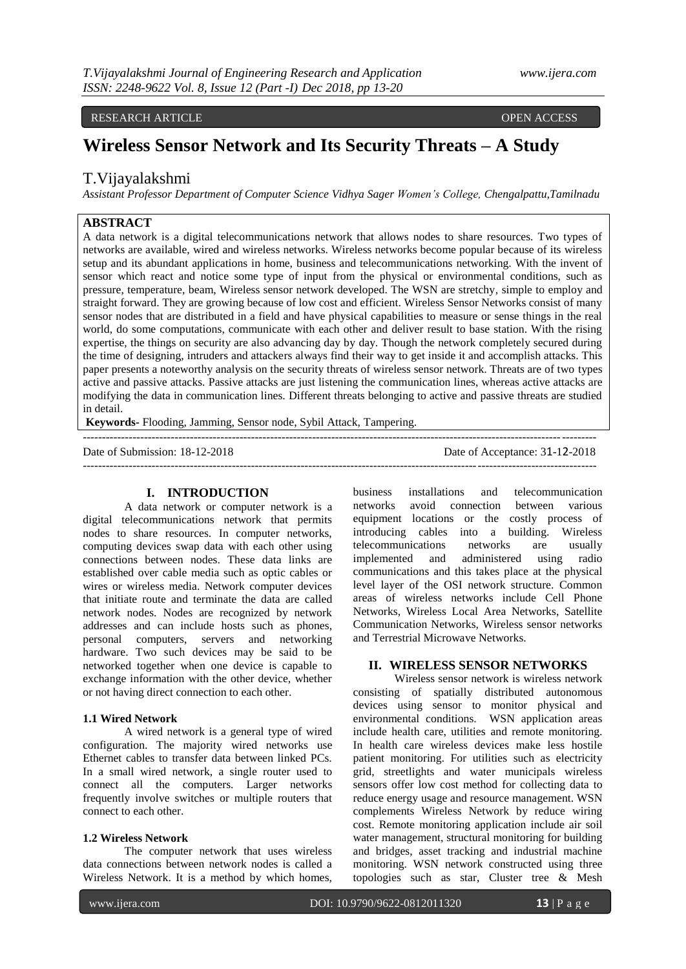# RESEARCH ARTICLE OPEN ACCESS

# **Wireless Sensor Network and Its Security Threats – A Study**

# T.Vijayalakshmi

*Assistant Professor Department of Computer Science Vidhya Sager Women's College, Chengalpattu,Tamilnadu*

# **ABSTRACT**

A data network is a digital telecommunications network that allows nodes to share resources. Two types of networks are available, wired and wireless networks. Wireless networks become popular because of its wireless setup and its abundant applications in home, business and telecommunications networking. With the invent of sensor which react and notice some type of input from the physical or environmental conditions, such as pressure, temperature, beam, Wireless sensor network developed. The WSN are stretchy, simple to employ and straight forward. They are growing because of low cost and efficient. Wireless Sensor Networks consist of many sensor nodes that are distributed in a field and have physical capabilities to measure or sense things in the real world, do some computations, communicate with each other and deliver result to base station. With the rising expertise, the things on security are also advancing day by day. Though the network completely secured during the time of designing, intruders and attackers always find their way to get inside it and accomplish attacks. This paper presents a noteworthy analysis on the security threats of wireless sensor network. Threats are of two types active and passive attacks. Passive attacks are just listening the communication lines, whereas active attacks are modifying the data in communication lines. Different threats belonging to active and passive threats are studied in detail.

--------------------------------------------------------------------------------------------------------------------------------------

--------------------------------------------------------------------------------------------------------------------------------------

**Keywords-** Flooding, Jamming, Sensor node, Sybil Attack, Tampering.

Date of Submission: 18-12-2018 Date of Acceptance: 31-12-2018

## **I. INTRODUCTION**

A data network or computer network is a digital telecommunications network that permits nodes to share resources. In computer networks, computing devices swap data with each other using connections between nodes. These data links are established over cable media such as optic cables or wires or wireless media. Network computer devices that initiate route and terminate the data are called network nodes. Nodes are recognized by network addresses and can include hosts such as phones, personal computers, servers and networking hardware. Two such devices may be said to be networked together when one device is capable to exchange information with the other device, whether or not having direct connection to each other.

#### **1.1 Wired Network**

A wired network is a general type of wired configuration. The majority wired networks use Ethernet cables to transfer data between linked PCs. In a small wired network, a single router used to connect all the computers. Larger networks frequently involve switches or multiple routers that connect to each other.

### **1.2 Wireless Network**

The computer network that uses wireless data connections between network nodes is called a Wireless Network. It is a method by which homes,

business installations and telecommunication networks avoid connection between various equipment locations or the costly process of introducing cables into a building. Wireless telecommunications networks are usually implemented and administered using radio communications and this takes place at the physical level layer of the OSI network structure. Common areas of wireless networks include Cell Phone Networks, Wireless Local Area Networks, Satellite Communication Networks, Wireless sensor networks and Terrestrial Microwave Networks.

# **II. WIRELESS SENSOR NETWORKS**

Wireless sensor network is wireless network consisting of spatially distributed autonomous devices using sensor to monitor physical and environmental conditions. WSN application areas include health care, utilities and remote monitoring. In health care wireless devices make less hostile patient monitoring. For utilities such as electricity grid, streetlights and water municipals wireless sensors offer low cost method for collecting data to reduce energy usage and resource management. WSN complements Wireless Network by reduce wiring cost. Remote monitoring application include air soil water management, structural monitoring for building and bridges, asset tracking and industrial machine monitoring. WSN network constructed using three topologies such as star, Cluster tree  $\&$  Mesh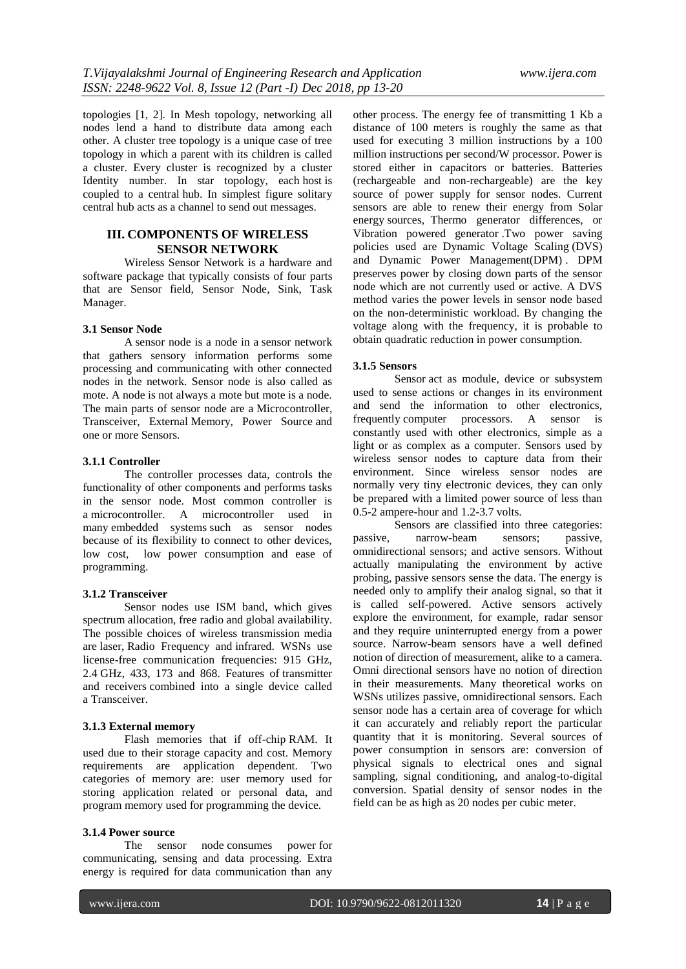topologies [1, 2]. In Mesh topology, networking all nodes lend a hand to distribute data among each other. A cluster tree topology is a unique case of tree topology in which a parent with its children is called a cluster. Every cluster is recognized by a cluster Identity number. In star topology, each host is coupled to a central hub. In simplest figure solitary central hub acts as a channel to send out messages.

# **III. COMPONENTS OF WIRELESS SENSOR NETWORK**

Wireless Sensor Network is a hardware and software package that typically consists of four parts that are Sensor field, Sensor Node, Sink, Task Manager.

## **3.1 Sensor Node**

A sensor node is a node in a sensor network that gathers sensory information performs some processing and communicating with other connected nodes in the network. Sensor node is also called as mote. A node is not always a mote but mote is a node. The main parts of sensor node are a Microcontroller, Transceiver, External Memory, Power Source and one or more Sensors.

## **3.1.1 Controller**

The controller processes data, controls the functionality of other components and performs tasks in the sensor node. Most common controller is a microcontroller. A microcontroller used in many embedded systems such as sensor nodes because of its flexibility to connect to other devices, low cost, low power consumption and ease of programming.

## **3.1.2 Transceiver**

Sensor nodes use ISM band, which gives spectrum allocation, free radio and global availability. The possible choices of wireless transmission media are laser, Radio Frequency and infrared. WSNs use license-free communication frequencies: 915 GHz, 2.4 GHz, 433, 173 and 868. Features of transmitter and receivers combined into a single device called a Transceiver.

#### **3.1.3 External memory**

Flash memories that if off-chip RAM. It used due to their storage capacity and cost. Memory requirements are application dependent. Two categories of memory are: user memory used for storing application related or personal data, and program memory used for programming the device.

## **3.1.4 Power source**

The sensor node consumes power for communicating, sensing and data processing. Extra energy is required for data communication than any

other process. The energy fee of transmitting 1 Kb a distance of 100 meters is roughly the same as that used for executing 3 million instructions by a 100 million instructions per second/W processor. Power is stored either in capacitors or batteries. Batteries (rechargeable and non-rechargeable) are the key source of power supply for sensor nodes. Current sensors are able to renew their energy from Solar energy sources, Thermo generator differences, or Vibration powered generator .Two power saving policies used are Dynamic Voltage Scaling (DVS) and Dynamic Power Management(DPM) . DPM preserves power by closing down parts of the sensor node which are not currently used or active. A DVS method varies the power levels in sensor node based on the non-deterministic workload. By changing the voltage along with the frequency, it is probable to obtain quadratic reduction in power consumption.

#### **3.1.5 Sensors**

Sensor act as module, device or subsystem used to sense actions or changes in its environment and send the information to other electronics, frequently computer processors. A sensor is constantly used with other electronics, simple as a light or as complex as a computer. Sensors used by wireless sensor nodes to capture data from their environment. Since wireless sensor nodes are normally very tiny electronic devices, they can only be prepared with a limited power source of less than 0.5-2 ampere-hour and 1.2-3.7 volts.

Sensors are classified into three categories: passive, narrow-beam sensors; passive, omnidirectional sensors; and active sensors. Without actually manipulating the environment by active probing, passive sensors sense the data. The energy is needed only to amplify their analog signal, so that it is called self-powered. Active sensors actively explore the environment, for example, radar sensor and they require uninterrupted energy from a power source. Narrow-beam sensors have a well defined notion of direction of measurement, alike to a camera. Omni directional sensors have no notion of direction in their measurements. Many theoretical works on WSNs utilizes passive, omnidirectional sensors. Each sensor node has a certain area of coverage for which it can accurately and reliably report the particular quantity that it is monitoring. Several sources of power consumption in sensors are: conversion of physical signals to electrical ones and signal sampling, signal conditioning, and analog-to-digital conversion. Spatial density of sensor nodes in the field can be as high as 20 nodes per cubic meter.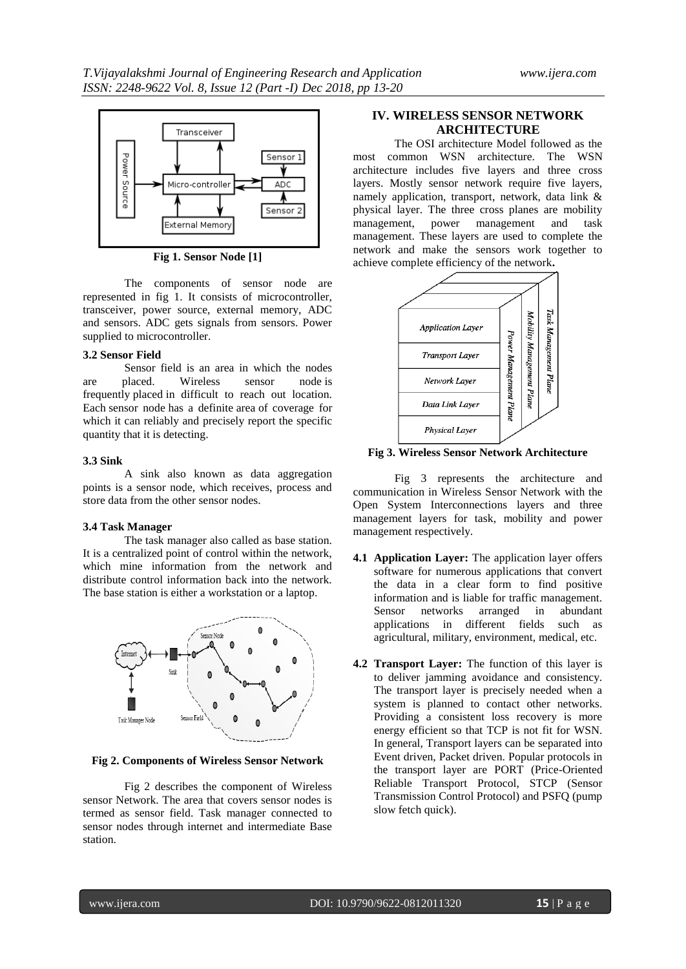

**Fig 1. Sensor Node [1]**

The components of sensor node are represented in fig 1. It consists of microcontroller, transceiver, power source, external memory, ADC and sensors. ADC gets signals from sensors. Power supplied to microcontroller.

## **3.2 Sensor Field**

Sensor field is an area in which the nodes are placed. Wireless sensor node is frequently placed in difficult to reach out location. Each sensor node has a definite area of coverage for which it can reliably and precisely report the specific quantity that it is detecting.

#### **3.3 Sink**

A sink also known as data aggregation points is a sensor node, which receives, process and store data from the other sensor nodes.

## **3.4 Task Manager**

The task manager also called as base station. It is a centralized point of control within the network, which mine information from the network and distribute control information back into the network. The base station is either a workstation or a laptop.



**Fig 2. Components of Wireless Sensor Network**

Fig 2 describes the component of Wireless sensor Network. The area that covers sensor nodes is termed as sensor field. Task manager connected to sensor nodes through internet and intermediate Base station.

## **IV. WIRELESS SENSOR NETWORK ARCHITECTURE**

The OSI architecture Model followed as the most common WSN architecture. The WSN architecture includes five layers and three cross layers. Mostly sensor network require five layers, namely application, transport, network, data link & physical layer. The three cross planes are mobility management, power management and task management. These layers are used to complete the network and make the sensors work together to achieve complete efficiency of the network**.**



**Fig 3. Wireless Sensor Network Architecture**

Fig 3 represents the architecture and communication in Wireless Sensor Network with the Open System Interconnections layers and three management layers for task, mobility and power management respectively.

- **4.1 Application Layer:** The application layer offers software for numerous applications that convert the data in a clear form to find positive information and is liable for traffic management. Sensor networks arranged in abundant applications in different fields such as agricultural, military, environment, medical, etc.
- **4.2 Transport Layer:** The function of this layer is to deliver jamming avoidance and consistency. The transport layer is precisely needed when a system is planned to contact other networks. Providing a consistent loss recovery is more energy efficient so that TCP is not fit for WSN. In general, Transport layers can be separated into Event driven, Packet driven. Popular protocols in the transport layer are PORT (Price-Oriented Reliable Transport Protocol, STCP (Sensor Transmission Control Protocol) and PSFQ (pump slow fetch quick).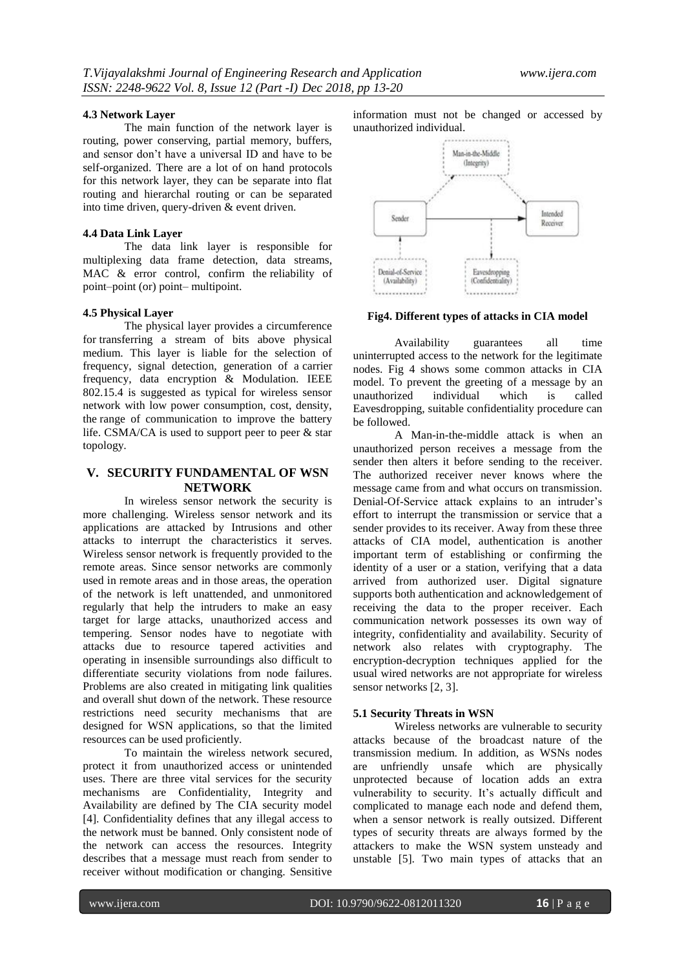## **4.3 Network Layer**

The main function of the network layer is routing, power conserving, partial memory, buffers, and sensor don't have a universal ID and have to be self-organized. There are a lot of on hand protocols for this network layer, they can be separate into flat routing and hierarchal routing or can be separated into time driven, query-driven & event driven.

## **4.4 Data Link Layer**

The data link layer is responsible for multiplexing data frame detection, data streams, MAC & error control, confirm the reliability of point–point (or) point– multipoint.

## **4.5 Physical Layer**

The physical layer provides a circumference for transferring a stream of bits above physical medium. This layer is liable for the selection of frequency, signal detection, generation of a carrier frequency, data encryption & Modulation. IEEE 802.15.4 is suggested as typical for wireless sensor network with low power consumption, cost, density, the range of communication to improve the battery life. CSMA/CA is used to support peer to peer & star topology.

# **V. SECURITY FUNDAMENTAL OF WSN NETWORK**

In wireless sensor network the security is more challenging. Wireless sensor network and its applications are attacked by Intrusions and other attacks to interrupt the characteristics it serves. Wireless sensor network is frequently provided to the remote areas. Since sensor networks are commonly used in remote areas and in those areas, the operation of the network is left unattended, and unmonitored regularly that help the intruders to make an easy target for large attacks, unauthorized access and tempering. Sensor nodes have to negotiate with attacks due to resource tapered activities and operating in insensible surroundings also difficult to differentiate security violations from node failures. Problems are also created in mitigating link qualities and overall shut down of the network. These resource restrictions need security mechanisms that are designed for WSN applications, so that the limited resources can be used proficiently.

To maintain the wireless network secured, protect it from unauthorized access or unintended uses. There are three vital services for the security mechanisms are Confidentiality, Integrity and Availability are defined by The CIA security model [4]. Confidentiality defines that any illegal access to the network must be banned. Only consistent node of the network can access the resources. Integrity describes that a message must reach from sender to receiver without modification or changing. Sensitive

information must not be changed or accessed by unauthorized individual.



**Fig4. Different types of attacks in CIA model**

Availability guarantees all time uninterrupted access to the network for the legitimate nodes. Fig 4 shows some common attacks in CIA model. To prevent the greeting of a message by an unauthorized individual which is called Eavesdropping, suitable confidentiality procedure can be followed.

A Man-in-the-middle attack is when an unauthorized person receives a message from the sender then alters it before sending to the receiver. The authorized receiver never knows where the message came from and what occurs on transmission. Denial-Of-Service attack explains to an intruder's effort to interrupt the transmission or service that a sender provides to its receiver. Away from these three attacks of CIA model, authentication is another important term of establishing or confirming the identity of a user or a station, verifying that a data arrived from authorized user. Digital signature supports both authentication and acknowledgement of receiving the data to the proper receiver. Each communication network possesses its own way of integrity, confidentiality and availability. Security of network also relates with cryptography. The encryption-decryption techniques applied for the usual wired networks are not appropriate for wireless sensor networks [2, 3].

## **5.1 Security Threats in WSN**

Wireless networks are vulnerable to security attacks because of the broadcast nature of the transmission medium. In addition, as WSNs nodes are unfriendly unsafe which are physically unprotected because of location adds an extra vulnerability to security. It's actually difficult and complicated to manage each node and defend them, when a sensor network is really outsized. Different types of security threats are always formed by the attackers to make the WSN system unsteady and unstable [5]. Two main types of attacks that an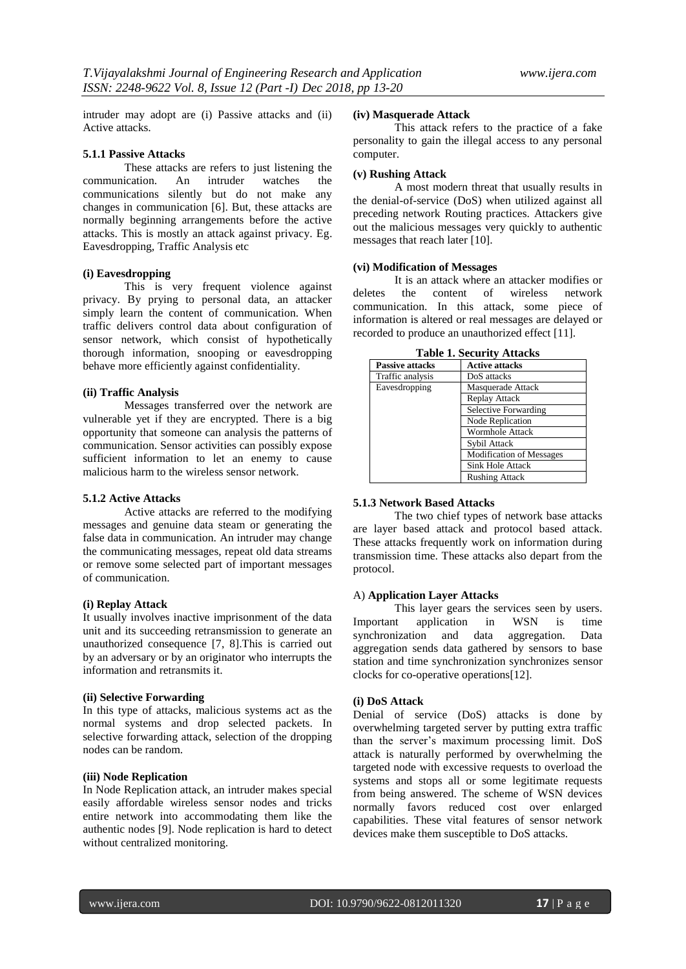intruder may adopt are (i) Passive attacks and (ii) Active attacks.

#### **5.1.1 Passive Attacks**

These attacks are refers to just listening the communication. An intruder watches the communications silently but do not make any changes in communication [6]. But, these attacks are normally beginning arrangements before the active attacks. This is mostly an attack against privacy. Eg. Eavesdropping, Traffic Analysis etc

#### **(i) Eavesdropping**

This is very frequent violence against privacy. By prying to personal data, an attacker simply learn the content of communication. When traffic delivers control data about configuration of sensor network, which consist of hypothetically thorough information, snooping or eavesdropping behave more efficiently against confidentiality.

## **(ii) Traffic Analysis**

Messages transferred over the network are vulnerable yet if they are encrypted. There is a big opportunity that someone can analysis the patterns of communication. Sensor activities can possibly expose sufficient information to let an enemy to cause malicious harm to the wireless sensor network.

## **5.1.2 Active Attacks**

Active attacks are referred to the modifying messages and genuine data steam or generating the false data in communication. An intruder may change the communicating messages, repeat old data streams or remove some selected part of important messages of communication.

## **(i) Replay Attack**

It usually involves inactive imprisonment of the data unit and its succeeding retransmission to generate an unauthorized consequence [7, 8].This is carried out by an adversary or by an originator who interrupts the information and retransmits it.

## **(ii) Selective Forwarding**

In this type of attacks, malicious systems act as the normal systems and drop selected packets. In selective forwarding attack, selection of the dropping nodes can be random.

#### **(iii) Node Replication**

In Node Replication attack, an intruder makes special easily affordable wireless sensor nodes and tricks entire network into accommodating them like the authentic nodes [9]. Node replication is hard to detect without centralized monitoring.

## **(iv) Masquerade Attack**

This attack refers to the practice of a fake personality to gain the illegal access to any personal computer.

#### **(v) Rushing Attack**

A most modern threat that usually results in the denial-of-service (DoS) when utilized against all preceding network Routing practices. Attackers give out the malicious messages very quickly to authentic messages that reach later [10].

## **(vi) Modification of Messages**

It is an attack where an attacker modifies or deletes the content of wireless network communication. In this attack, some piece of information is altered or real messages are delayed or recorded to produce an unauthorized effect [11].

| Tadie 1. Security Attacks |                                 |
|---------------------------|---------------------------------|
| <b>Passive attacks</b>    | <b>Active attacks</b>           |
| Traffic analysis          | DoS attacks                     |
| Eavesdropping             | Masquerade Attack               |
|                           | Replay Attack                   |
|                           | Selective Forwarding            |
|                           | <b>Node Replication</b>         |
|                           | <b>Wormhole Attack</b>          |
|                           | Sybil Attack                    |
|                           | <b>Modification of Messages</b> |
|                           | Sink Hole Attack                |
|                           | <b>Rushing Attack</b>           |

**Table 1. Security Attacks**

## **5.1.3 Network Based Attacks**

The two chief types of network base attacks are layer based attack and protocol based attack. These attacks frequently work on information during transmission time. These attacks also depart from the protocol.

## A) **Application Layer Attacks**

This layer gears the services seen by users. Important application in WSN is time synchronization and data aggregation. Data aggregation sends data gathered by sensors to base station and time synchronization synchronizes sensor clocks for co-operative operations[12].

## **(i) DoS Attack**

Denial of service (DoS) attacks is done by overwhelming targeted server by putting extra traffic than the server's maximum processing limit. DoS attack is naturally performed by overwhelming the targeted node with excessive requests to overload the systems and stops all or some legitimate requests from being answered. The scheme of WSN devices normally favors reduced cost over enlarged capabilities. These vital features of sensor network devices make them susceptible to DoS attacks.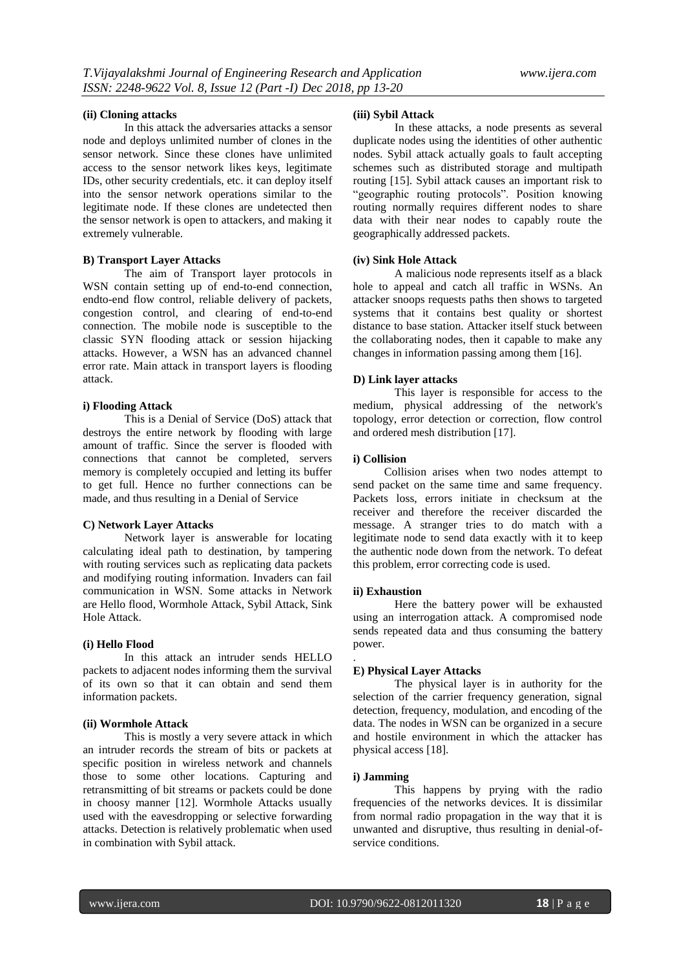#### **(ii) Cloning attacks**

In this attack the adversaries attacks a sensor node and deploys unlimited number of clones in the sensor network. Since these clones have unlimited access to the sensor network likes keys, legitimate IDs, other security credentials, etc. it can deploy itself into the sensor network operations similar to the legitimate node. If these clones are undetected then the sensor network is open to attackers, and making it extremely vulnerable.

#### **B) Transport Layer Attacks**

The aim of Transport layer protocols in WSN contain setting up of end-to-end connection, endto-end flow control, reliable delivery of packets, congestion control, and clearing of end-to-end connection. The mobile node is susceptible to the classic SYN flooding attack or session hijacking attacks. However, a WSN has an advanced channel error rate. Main attack in transport layers is flooding attack.

#### **i) Flooding Attack**

This is a Denial of Service (DoS) attack that destroys the entire network by flooding with large amount of traffic. Since the server is flooded with connections that cannot be completed, servers memory is completely occupied and letting its buffer to get full. Hence no further connections can be made, and thus resulting in a Denial of Service

#### **C) Network Layer Attacks**

Network layer is answerable for locating calculating ideal path to destination, by tampering with routing services such as replicating data packets and modifying routing information. Invaders can fail communication in WSN. Some attacks in Network are Hello flood, Wormhole Attack, Sybil Attack, Sink Hole Attack.

## **(i) Hello Flood**

In this attack an intruder sends HELLO packets to adjacent nodes informing them the survival of its own so that it can obtain and send them information packets.

## **(ii) Wormhole Attack**

This is mostly a very severe attack in which an intruder records the stream of bits or packets at specific position in wireless network and channels those to some other locations. Capturing and retransmitting of bit streams or packets could be done in choosy manner [12]. Wormhole Attacks usually used with the eavesdropping or selective forwarding attacks. Detection is relatively problematic when used in combination with Sybil attack.

# **(iii) Sybil Attack**

In these attacks, a node presents as several duplicate nodes using the identities of other authentic nodes. Sybil attack actually goals to fault accepting schemes such as distributed storage and multipath routing [15]. Sybil attack causes an important risk to "geographic routing protocols". Position knowing routing normally requires different nodes to share data with their near nodes to capably route the geographically addressed packets.

#### **(iv) Sink Hole Attack**

A malicious node represents itself as a black hole to appeal and catch all traffic in WSNs. An attacker snoops requests paths then shows to targeted systems that it contains best quality or shortest distance to base station. Attacker itself stuck between the collaborating nodes, then it capable to make any changes in information passing among them [16].

#### **D) Link layer attacks**

This layer is responsible for access to the medium, physical addressing of the network's topology, error detection or correction, flow control and ordered mesh distribution [17].

## **i) Collision**

Collision arises when two nodes attempt to send packet on the same time and same frequency. Packets loss, errors initiate in checksum at the receiver and therefore the receiver discarded the message. A stranger tries to do match with a legitimate node to send data exactly with it to keep the authentic node down from the network. To defeat this problem, error correcting code is used.

#### **ii) Exhaustion**

.

Here the battery power will be exhausted using an interrogation attack. A compromised node sends repeated data and thus consuming the battery power.

### **E) Physical Layer Attacks**

The physical layer is in authority for the selection of the carrier frequency generation, signal detection, frequency, modulation, and encoding of the data. The nodes in WSN can be organized in a secure and hostile environment in which the attacker has physical access [18].

## **i) Jamming**

This happens by prying with the radio frequencies of the networks devices. It is dissimilar from normal radio propagation in the way that it is unwanted and disruptive, thus resulting in denial-ofservice conditions.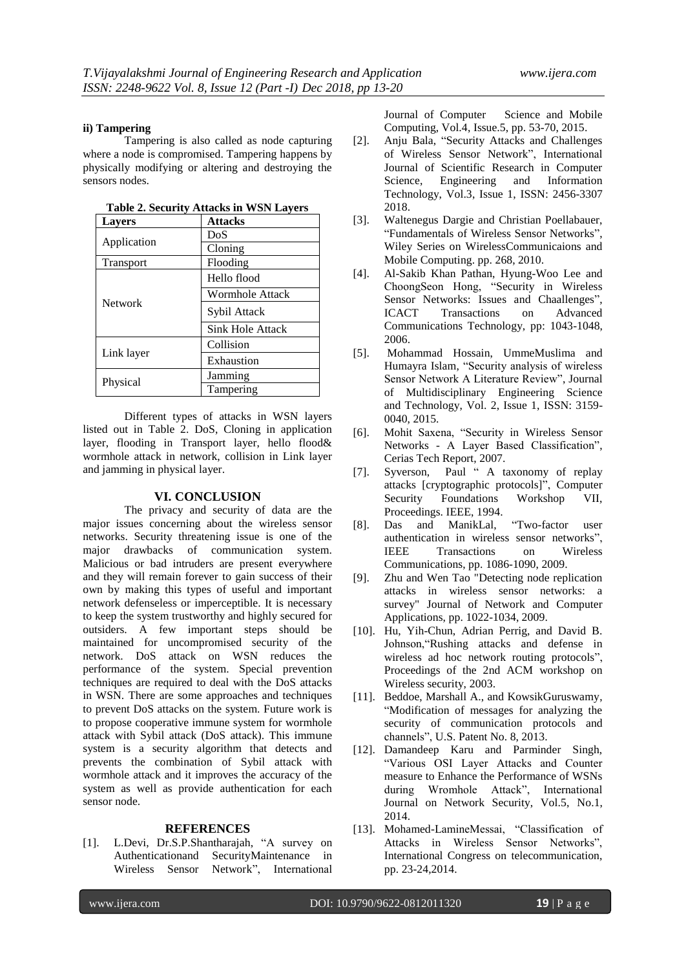## **ii) Tampering**

Tampering is also called as node capturing where a node is compromised. Tampering happens by physically modifying or altering and destroying the sensors nodes.

| <b>Lavers</b>  | <b>Attacks</b>         |
|----------------|------------------------|
|                | DoS                    |
| Application    | Cloning                |
| Transport      | Flooding               |
|                | Hello flood            |
|                | <b>Wormhole Attack</b> |
| <b>Network</b> | Sybil Attack           |
|                | Sink Hole Attack       |
| Link layer     | Collision              |
|                | Exhaustion             |
|                | Jamming                |
| Physical       | Tampering              |

**Table 2. Security Attacks in WSN Layers**

Different types of attacks in WSN layers listed out in Table 2. DoS, Cloning in application layer, flooding in Transport layer, hello flood& wormhole attack in network, collision in Link layer and jamming in physical layer.

## **VI. CONCLUSION**

The privacy and security of data are the major issues concerning about the wireless sensor networks. Security threatening issue is one of the major drawbacks of communication system. Malicious or bad intruders are present everywhere and they will remain forever to gain success of their own by making this types of useful and important network defenseless or imperceptible. It is necessary to keep the system trustworthy and highly secured for outsiders. A few important steps should be maintained for uncompromised security of the network. DoS attack on WSN reduces the performance of the system. Special prevention techniques are required to deal with the DoS attacks in WSN. There are some approaches and techniques to prevent DoS attacks on the system. Future work is to propose cooperative immune system for wormhole attack with Sybil attack (DoS attack). This immune system is a security algorithm that detects and prevents the combination of Sybil attack with wormhole attack and it improves the accuracy of the system as well as provide authentication for each sensor node.

#### **REFERENCES**

[1]. L.Devi, Dr.S.P.Shantharajah, "A survey on Authenticationand SecurityMaintenance in Wireless Sensor Network", International Journal of Computer Science and Mobile Computing, Vol.4, Issue.5, pp. 53-70, 2015.

- [2]. Anju Bala, "Security Attacks and Challenges of Wireless Sensor Network", International Journal of Scientific Research in Computer Science, Engineering and Information Technology, Vol.3, Issue 1, ISSN: 2456-3307 2018.
- [3]. Waltenegus Dargie and Christian Poellabauer, "Fundamentals of Wireless Sensor Networks", Wiley Series on WirelessCommunicaions and Mobile Computing. pp. 268, 2010.
- [4]. Al-Sakib Khan Pathan, Hyung-Woo Lee and ChoongSeon Hong, "Security in Wireless Sensor Networks: Issues and Chaallenges", ICACT Transactions on Advanced Communications Technology, pp: 1043-1048, 2006.
- [5]. Mohammad Hossain, UmmeMuslima and Humayra Islam, "Security analysis of wireless Sensor Network A Literature Review", Journal of Multidisciplinary Engineering Science and Technology, Vol. 2, Issue 1, ISSN: 3159- 0040, 2015.
- [6]. Mohit Saxena, "Security in Wireless Sensor Networks - A Layer Based Classification", Cerias Tech Report, 2007.
- [7]. Syverson, Paul " A taxonomy of replay attacks [cryptographic protocols]", Computer Security Foundations Workshop VII, Proceedings. IEEE, 1994.
- [8]. Das and ManikLal, "Two-factor user authentication in wireless sensor networks", IEEE Transactions on Wireless Communications, pp. 1086-1090, 2009.
- [9]. Zhu and Wen Tao "Detecting node replication attacks in wireless sensor networks: a survey" Journal of Network and Computer Applications, pp. 1022-1034, 2009.
- [10]. Hu, Yih-Chun, Adrian Perrig, and David B. Johnson,"Rushing attacks and defense in wireless ad hoc network routing protocols", Proceedings of the 2nd ACM workshop on Wireless security, 2003.
- [11]. Beddoe, Marshall A., and KowsikGuruswamy, "Modification of messages for analyzing the security of communication protocols and channels", U.S. Patent No. 8, 2013.
- [12]. Damandeep Karu and Parminder Singh, "Various OSI Layer Attacks and Counter measure to Enhance the Performance of WSNs during Wromhole Attack", International Journal on Network Security, Vol.5, No.1, 2014.
- [13]. Mohamed-LamineMessai, "Classification of Attacks in Wireless Sensor Networks", International Congress on telecommunication, pp. 23-24,2014.